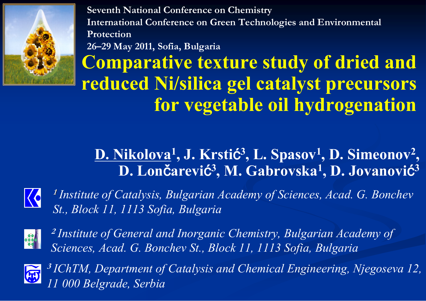

**Seventh National Conference on Chemistry International Conference on Green Technologies and Environmental Protection26–29 May 2011, Sofia, Bulgaria**

**Comparative texture study of dried and reduced Ni/silica gel catalyst precursors for vegetable oil hydrogenation**

#### **D. Nikolova 1, J. Krsti** ć **3, L. Spasov 1, D. Simeonov 2 , D. Lon** č**arevi** ć **3, M. Gabrovska 1, D. Jovanovi** ć **3**



**1** *Institute of Catalysis, Bulgarian Academy of Sciences, Acad. G. Bonchev St., Block 11, 1113 Sofia, Bulgaria*



**2** *Institute of General and Inorganic Chemistry, Bulgarian Academy of Sciences, Acad. G. Bonchev St., Block 11, 1113 Sofia, Bulgaria*



**3** *IChTM, Department of Catalysis and Chemical Engineering, Njegoseva 12, 11 000 Belgrade, Serbia*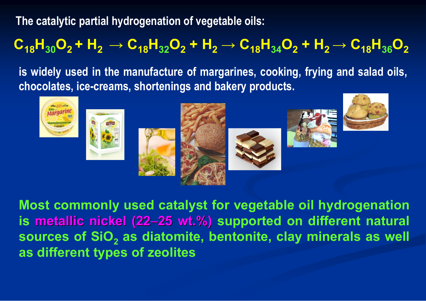**The catalytic partial hydrogenation of vegetable oils:**

### $\mathbf{C_{18}}\mathbf{H_{30}}\mathbf{O_{2}} + \mathbf{H_{2}} \rightarrow \mathbf{C_{18}}\mathbf{H_{32}}\mathbf{O_{2}} + \mathbf{H_{2}} \rightarrow \mathbf{C_{18}}\mathbf{H_{34}}\mathbf{O_{2}} + \mathbf{H_{2}} \rightarrow \mathbf{C_{18}}\mathbf{H_{36}}\mathbf{O_{2}}$

**is widely used in the manufacture of margarines, cooking, frying and salad oils, chocolates, ice-creams, shortenings and bakery products.**



**Most commonly used catalyst for vegetable oil hydrogenation is metallic metallic nickel (22** <sup>−</sup>**25 wt.%) 25 wt.%) supported on different natural sources of SiO 2 as diatomite, bentonite, clay minerals as well as different types of zeolites**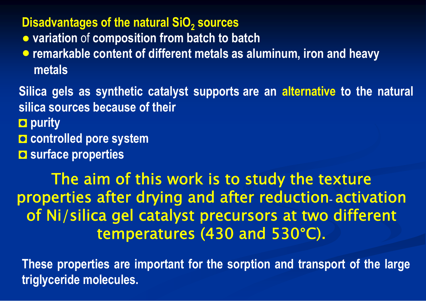#### **Disadvantages of the natural SiO 2 sources**

- **● variation** of **composition from batch to batch**
- **remarkable content of different metals as aluminum, iron and heavy metals**

**Silica gels as synthetic catalyst supports are an alternative to the natural silica sources because of their**◘ **purity**

- ◘ **controlled pore system**
- ◘ **surface properties**

#### The aim of this work is to study the texture properties after drying and after reduction **-** activation of Ni/silica gel catalyst precursors at two different temperatures (430 and 530 °C).

**These properties are important for the sorption and transport of the large triglyceride molecules.**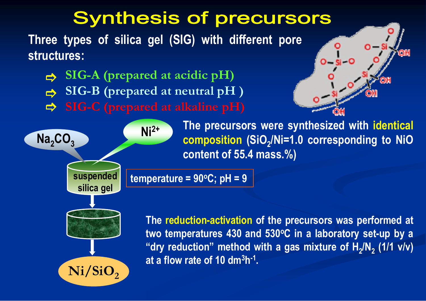## **Synthesis of precursors**

**Three types of silica gel (SIG) with different pore structures:**

**SIG-B (prepared at neutral pH )**  $\Rightarrow$  $\Rightarrow$  $\Rightarrow$ **SIG-A (prepared at acidic pH)** 



**The precursors were synthesized with identical composition (SiO <sup>2</sup>/Ni=1.0 corresponding to NiO content of 55.4 mass.%)**

**The reduction-activation of the precursors was performed at**  two temperatures 430 and 530°C in a laboratory set-up by a **"dry reduction" method with a gas mixture of H <sup>2</sup>/N 2 (1/1 v/v) at a flow rate of 10 dm 3 h-1.**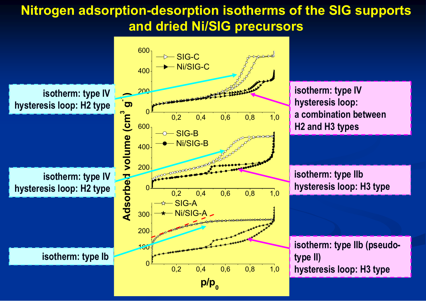#### **Nitrogen adsorption-desorption isotherms of the SIG supports and dried Ni/SIG precursors**

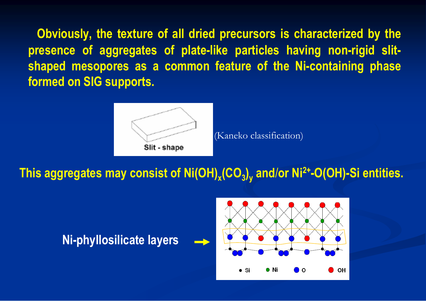**Obviously, the texture of all dried precursors is characterized by the presence of aggregates of plate-like particles having non-rigid slitshaped mesopores as a common feature of the Ni-containing phase formed on SIG supports.**



(Kaneko classification)

**This aggregates may consist of Ni(OH) x(CO 3) <sup>y</sup> and** /**or Ni2+-O(OH)-Si entities.**



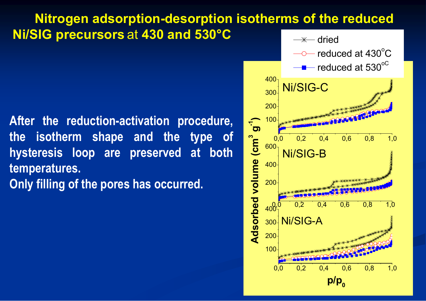#### **Nitrogen adsorption-desorption isotherms of the reduced Ni/SIG precursors** at **430 and 530°C**

**After the reduction-activation procedure, the isotherm shape and the type of hysteresis loop are preserved at both temperatures.**

**Only filling of the pores has occurred.**

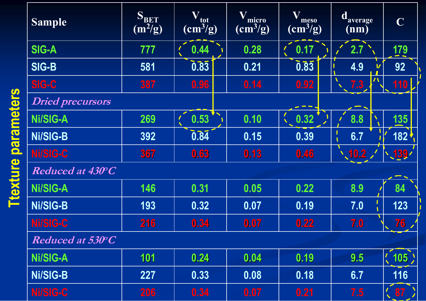| <b>Sample</b>           | SBET<br>$(m^2/g)$ | $\bf{V_{tot}}$<br>$\text{ (cm}^3\text{/g)}$ | Wmicro<br>$\rm (cm^3/g)$ | $\mathbf V$<br>meso<br>$\rm (cm^3/g)$ | daverage<br>(nm) | $\mathbf C$                                                   |
|-------------------------|-------------------|---------------------------------------------|--------------------------|---------------------------------------|------------------|---------------------------------------------------------------|
| <b>SIG-A</b>            | 777               | 0.44                                        | 0.28                     | 0.17                                  | 2.7              | <u>179</u>                                                    |
| <b>SIG-B</b>            | 581               | $0.\overline{83}$                           | 0.21                     | $\overline{0.83}$                     | 4.9              | 92                                                            |
| <b>SIG-C</b>            | 387               | 0.96                                        | 0.14                     | 0.92                                  | 7.3              | <b>110</b>                                                    |
| <b>Dried precursors</b> |                   |                                             |                          |                                       |                  |                                                               |
| Ni/SIG-A                | 269               | 0.53                                        | 0.10                     | 0.32                                  | 8.8              | 135                                                           |
| <b>Ni/SIG-B</b>         | 392               | $0.\overline{84}$                           | 0.15                     | 0.39                                  | 6.7              | $182 \frac{1}{2}$                                             |
| Ni/SIG-C                | 367               | 0.63                                        | 0.13                     | 0.46                                  | $\sqrt{10.2}$    | 139'                                                          |
| Reduced at 430°C        |                   |                                             |                          |                                       |                  |                                                               |
| Ni/SIG-A                | 146               | 0.31                                        | 0.05                     | 0.22                                  | 8.9              | 84                                                            |
| Ni/SIG-B                | 193               | 0.32                                        | 0.07                     | 0.19                                  | 7.0              | 123                                                           |
| Ni/SIG-C                | 216               | 0.34                                        | 0.07                     | 0.22                                  | 7.0              | 76/                                                           |
| Reduced at 530°C        |                   |                                             |                          |                                       |                  |                                                               |
| Ni/SIG-A                | 101               | 0.24                                        | 0.04                     | 0.19                                  | 9.5              | (105)                                                         |
| <b>Ni/SIG-B</b>         | 227               | 0.33                                        | 0.08                     | 0.18                                  | 6.7              | 116                                                           |
| Ni/SIG-C                | 206               | 0.34                                        | 0.07                     | 0.21                                  | 7.5              | $\begin{array}{cc} \begin{array}{cc} \end{array} \end{array}$ |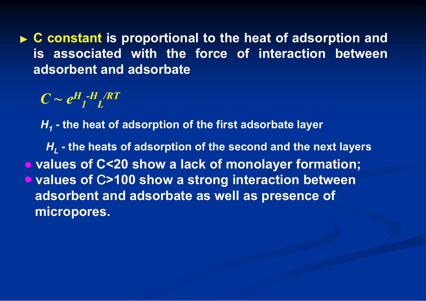▶ **C** constant is proportional to the heat of adsorption and **is associated with the force of interaction between adsorbent and adsorbate**

 $C \sim e^{H}$ <sub>1</sub>-H<sub>L</sub>/RT

*H1* **- the heat of adsorption of the first adsorbate layer**

**● values of С<20 show a lack of monolayer formation;** ● values of C>100 show a strong interaction between **adsorbent and adsorbate as well as presence of micropores.** *HL* **- the heats of adsorption of the second and the next layers**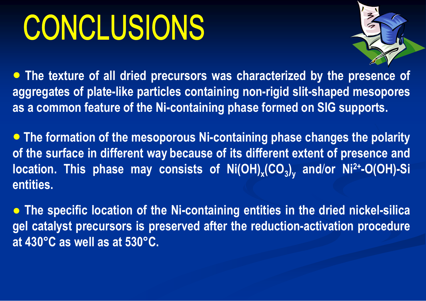# CONCLUSIONS



● **The texture of all dried precursors was characterized by the presence of aggregates of plate-like particles containing non-rigid slit-shaped mesopores as a common feature of the Ni-containing phase formed on SIG supports.**

● **The formation of the mesoporous Ni-containing phase changes the polarity of the surface in different way because of its different extent of presence and location.** This phase may consists of Ni(OH)<sub>x</sub>(CO<sub>3</sub>)<sub>y</sub> and/or Ni<sup>2+</sup>-O(OH)-Si **entities.**

**● The specific location of the Ni-containing entities in the dried nickel-silica gel catalyst precursors is preserved after the reduction-activation procedure at 430°C as well as at 530°C.**